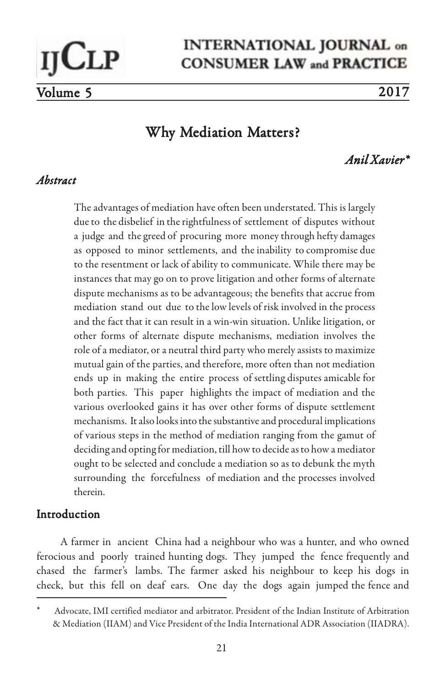# **INTERNATIONAL JOURNAL on CONSUMER LAW and PRACTICE**

Volume 5 2017

**IJCLP** 

# Why Mediation Matters?

*Anil Xavier\* Anil* 

## *Abstract*

The advantages of mediation have often been understated. This is largely due to the disbelief in the rightfulness of settlement of disputes without a judge and the greed of procuring more money through hefty damages as opposed to minor settlements, and the inability to compromise due to the resentment or lack of ability to communicate. While there may be instances that may go on to prove litigation and other forms of alternate dispute mechanisms as to be advantageous; the benefits that accrue from mediation stand out due to the low levels of risk involved in the process and the fact that it can result in a win-win situation. Unlike litigation, or other forms of alternate dispute mechanisms, mediation involves the role of a mediator, or a neutral third party who merely assists to maximize mutual gain of the parties, and therefore, more often than not mediation ends up in making the entire process of settling disputes amicable for both parties. This paper highlights the impact of mediation and the various overlooked gains it has over other forms of dispute settlement mechanisms. It also looks into the substantive and procedural implications of various steps in the method of mediation ranging from the gamut of deciding and opting for mediation, till how to decide as to how a mediator ought to be selected and conclude a mediation so as to debunk the myth surrounding the forcefulness of mediation and the processes involved therein.

# Introduction

A farmer in ancient China had a neighbour who was a hunter, and who owned ferocious and poorly trained hunting dogs. They jumped the fence frequently and chased the farmer's lambs. The farmer asked his neighbour to keep his dogs in check, but this fell on deaf ears. One day the dogs again jumped the fence and

<sup>\*</sup> Advocate, IMI certified mediator and arbitrator. President of the Indian Institute of Arbitration & Mediation (IIAM) and Vice President of the India International ADR Association (IIADRA).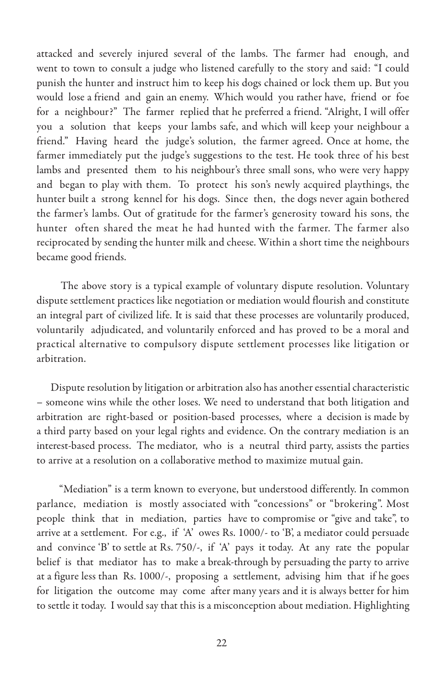attacked and severely injured several of the lambs. The farmer had enough, and went to town to consult a judge who listened carefully to the story and said: "I could punish the hunter and instruct him to keep his dogs chained or lock them up. But you would lose a friend and gain an enemy. Which would you rather have, friend or foe for a neighbour?" The farmer replied that he preferred a friend. "Alright, I will offer you a solution that keeps your lambs safe, and which will keep your neighbour a friend." Having heard the judge's solution, the farmer agreed. Once at home, the farmer immediately put the judge's suggestions to the test. He took three of his best lambs and presented them to his neighbour's three small sons, who were very happy and began to play with them. To protect his son's newly acquired playthings, the hunter built a strong kennel for his dogs. Since then, the dogs never again bothered the farmer's lambs. Out of gratitude for the farmer's generosity toward his sons, the hunter often shared the meat he had hunted with the farmer. The farmer also reciprocated by sending the hunter milk and cheese. Within a short time the neighbours became good friends.

 The above story is a typical example of voluntary dispute resolution. Voluntary dispute settlement practices like negotiation or mediation would flourish and constitute an integral part of civilized life. It is said that these processes are voluntarily produced, voluntarily adjudicated, and voluntarily enforced and has proved to be a moral and practical alternative to compulsory dispute settlement processes like litigation or arbitration.

 Dispute resolution by litigation or arbitration also has another essential characteristic – someone wins while the other loses. We need to understand that both litigation and arbitration are right-based or position-based processes, where a decision is made by a third party based on your legal rights and evidence. On the contrary mediation is an interest-based process. The mediator, who is a neutral third party, assists the parties to arrive at a resolution on a collaborative method to maximize mutual gain.

 "Mediation" is a term known to everyone, but understood differently. In common parlance, mediation is mostly associated with "concessions" or "brokering". Most people think that in mediation, parties have to compromise or "give and take", to arrive at a settlement. For e.g., if 'A' owes Rs. 1000/- to 'B', a mediator could persuade and convince 'B' to settle at Rs. 750/-, if 'A' pays it today. At any rate the popular belief is that mediator has to make a break-through by persuading the party to arrive at a figure less than Rs. 1000/-, proposing a settlement, advising him that if he goes for litigation the outcome may come after many years and it is always better for him to settle it today. I would say that this is a misconception about mediation. Highlighting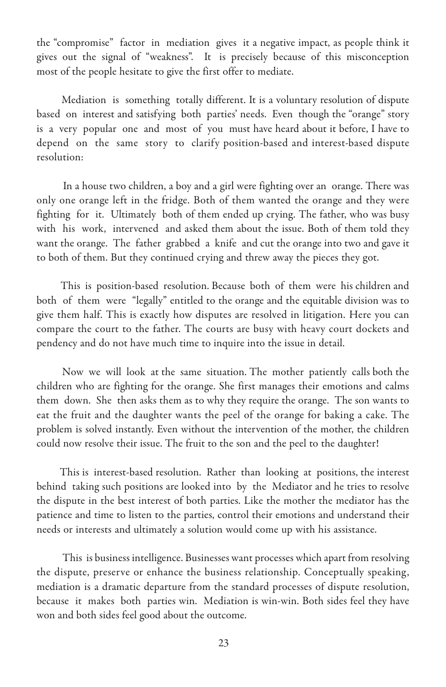the "compromise" factor in mediation gives it a negative impact, as people think it gives out the signal of "weakness". It is precisely because of this misconception most of the people hesitate to give the first offer to mediate.

 Mediation is something totally different. It is a voluntary resolution of dispute based on interest and satisfying both parties' needs. Even though the "orange" story is a very popular one and most of you must have heard about it before, I have to depend on the same story to clarify position-based and interest-based dispute resolution:

 In a house two children, a boy and a girl were fighting over an orange. There was only one orange left in the fridge. Both of them wanted the orange and they were fighting for it. Ultimately both of them ended up crying. The father, who was busy with his work, intervened and asked them about the issue. Both of them told they want the orange. The father grabbed a knife and cut the orange into two and gave it to both of them. But they continued crying and threw away the pieces they got.

 This is position-based resolution. Because both of them were his children and both of them were "legally" entitled to the orange and the equitable division was to give them half. This is exactly how disputes are resolved in litigation. Here you can compare the court to the father. The courts are busy with heavy court dockets and pendency and do not have much time to inquire into the issue in detail.

 Now we will look at the same situation. The mother patiently calls both the children who are fighting for the orange. She first manages their emotions and calms them down. She then asks them as to why they require the orange. The son wants to eat the fruit and the daughter wants the peel of the orange for baking a cake. The problem is solved instantly. Even without the intervention of the mother, the children could now resolve their issue. The fruit to the son and the peel to the daughter!

 This is interest-based resolution. Rather than looking at positions, the interest behind taking such positions are looked into by the Mediator and he tries to resolve the dispute in the best interest of both parties. Like the mother the mediator has the patience and time to listen to the parties, control their emotions and understand their needs or interests and ultimately a solution would come up with his assistance.

 This is business intelligence. Businesses want processes which apart from resolving the dispute, preserve or enhance the business relationship. Conceptually speaking, mediation is a dramatic departure from the standard processes of dispute resolution, because it makes both parties win. Mediation is win-win. Both sides feel they have won and both sides feel good about the outcome.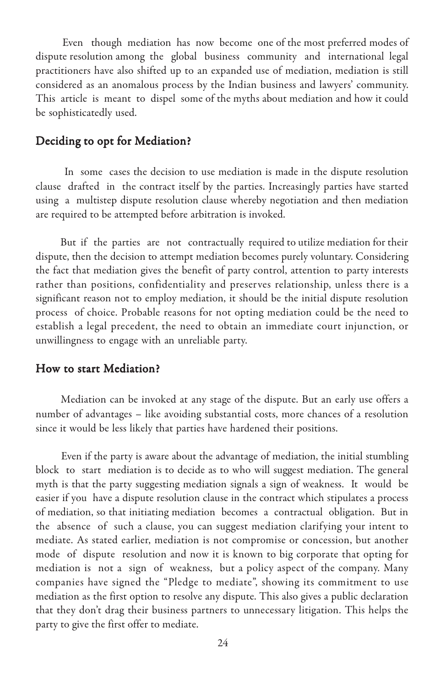Even though mediation has now become one of the most preferred modes of dispute resolution among the global business community and international legal practitioners have also shifted up to an expanded use of mediation, mediation is still considered as an anomalous process by the Indian business and lawyers' community. This article is meant to dispel some of the myths about mediation and how it could be sophisticatedly used.

# Deciding to opt for Mediation?

 In some cases the decision to use mediation is made in the dispute resolution clause drafted in the contract itself by the parties. Increasingly parties have started using a multistep dispute resolution clause whereby negotiation and then mediation are required to be attempted before arbitration is invoked.

 But if the parties are not contractually required to utilize mediation for their dispute, then the decision to attempt mediation becomes purely voluntary. Considering the fact that mediation gives the benefit of party control, attention to party interests rather than positions, confidentiality and preserves relationship, unless there is a significant reason not to employ mediation, it should be the initial dispute resolution process of choice. Probable reasons for not opting mediation could be the need to establish a legal precedent, the need to obtain an immediate court injunction, or unwillingness to engage with an unreliable party.

### How to start Mediation?

 Mediation can be invoked at any stage of the dispute. But an early use offers a number of advantages – like avoiding substantial costs, more chances of a resolution since it would be less likely that parties have hardened their positions.

 Even if the party is aware about the advantage of mediation, the initial stumbling block to start mediation is to decide as to who will suggest mediation. The general myth is that the party suggesting mediation signals a sign of weakness. It would be easier if you have a dispute resolution clause in the contract which stipulates a process of mediation, so that initiating mediation becomes a contractual obligation. But in the absence of such a clause, you can suggest mediation clarifying your intent to mediate. As stated earlier, mediation is not compromise or concession, but another mode of dispute resolution and now it is known to big corporate that opting for mediation is not a sign of weakness, but a policy aspect of the company. Many companies have signed the "Pledge to mediate", showing its commitment to use mediation as the first option to resolve any dispute. This also gives a public declaration that they don't drag their business partners to unnecessary litigation. This helps the party to give the first offer to mediate.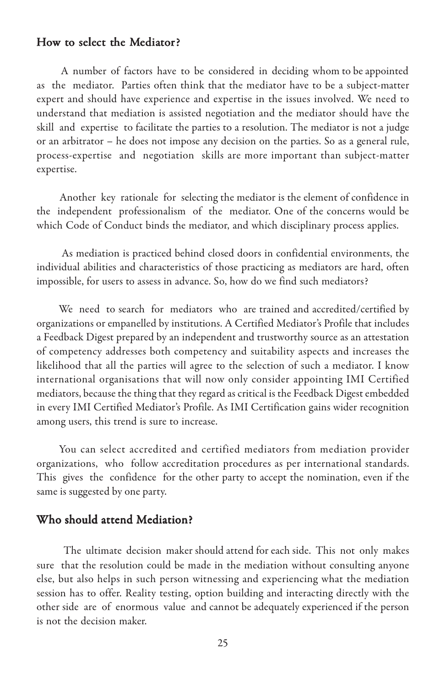### How to select the Mediator?

 A number of factors have to be considered in deciding whom to be appointed as the mediator. Parties often think that the mediator have to be a subject-matter expert and should have experience and expertise in the issues involved. We need to understand that mediation is assisted negotiation and the mediator should have the skill and expertise to facilitate the parties to a resolution. The mediator is not a judge or an arbitrator – he does not impose any decision on the parties. So as a general rule, process-expertise and negotiation skills are more important than subject-matter expertise.

 Another key rationale for selecting the mediator is the element of confidence in the independent professionalism of the mediator. One of the concerns would be which Code of Conduct binds the mediator, and which disciplinary process applies.

 As mediation is practiced behind closed doors in confidential environments, the individual abilities and characteristics of those practicing as mediators are hard, often impossible, for users to assess in advance. So, how do we find such mediators?

 We need to search for mediators who are trained and accredited/certified by organizations or empanelled by institutions. A Certified Mediator's Profile that includes a Feedback Digest prepared by an independent and trustworthy source as an attestation of competency addresses both competency and suitability aspects and increases the likelihood that all the parties will agree to the selection of such a mediator. I know international organisations that will now only consider appointing IMI Certified mediators, because the thing that they regard as critical is the Feedback Digest embedded in every IMI Certified Mediator's Profile. As IMI Certification gains wider recognition among users, this trend is sure to increase.

 You can select accredited and certified mediators from mediation provider organizations, who follow accreditation procedures as per international standards. This gives the confidence for the other party to accept the nomination, even if the same is suggested by one party.

# Who should attend Mediation?

 The ultimate decision maker should attend for each side. This not only makes sure that the resolution could be made in the mediation without consulting anyone else, but also helps in such person witnessing and experiencing what the mediation session has to offer. Reality testing, option building and interacting directly with the other side are of enormous value and cannot be adequately experienced if the person is not the decision maker.